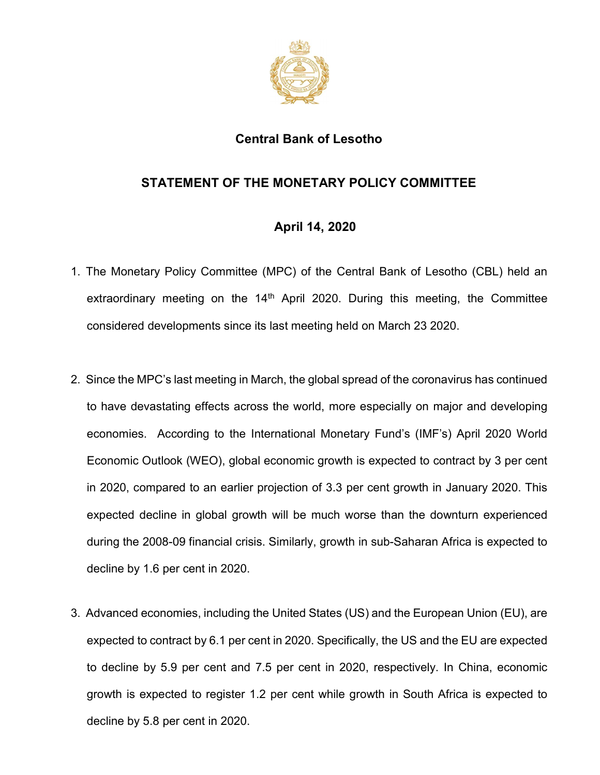

## Central Bank of Lesotho

## STATEMENT OF THE MONETARY POLICY COMMITTEE

## April 14, 2020

- 1. The Monetary Policy Committee (MPC) of the Central Bank of Lesotho (CBL) held an extraordinary meeting on the  $14<sup>th</sup>$  April 2020. During this meeting, the Committee considered developments since its last meeting held on March 23 2020.
- 2. Since the MPC's last meeting in March, the global spread of the coronavirus has continued to have devastating effects across the world, more especially on major and developing economies. According to the International Monetary Fund's (IMF's) April 2020 World Economic Outlook (WEO), global economic growth is expected to contract by 3 per cent in 2020, compared to an earlier projection of 3.3 per cent growth in January 2020. This expected decline in global growth will be much worse than the downturn experienced during the 2008-09 financial crisis. Similarly, growth in sub-Saharan Africa is expected to decline by 1.6 per cent in 2020.
- 3. Advanced economies, including the United States (US) and the European Union (EU), are expected to contract by 6.1 per cent in 2020. Specifically, the US and the EU are expected to decline by 5.9 per cent and 7.5 per cent in 2020, respectively. In China, economic growth is expected to register 1.2 per cent while growth in South Africa is expected to decline by 5.8 per cent in 2020.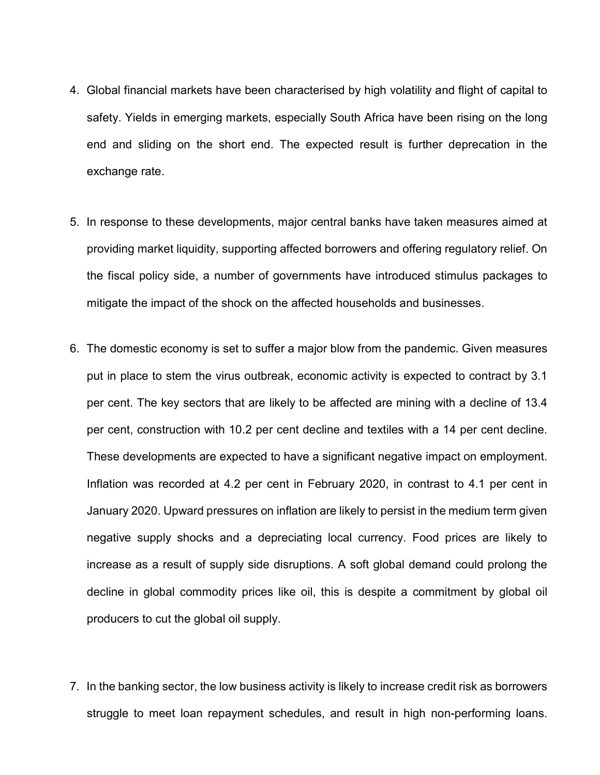- 4. Global financial markets have been characterised by high volatility and flight of capital to safety. Yields in emerging markets, especially South Africa have been rising on the long end and sliding on the short end. The expected result is further deprecation in the exchange rate.
- 5. In response to these developments, major central banks have taken measures aimed at providing market liquidity, supporting affected borrowers and offering regulatory relief. On the fiscal policy side, a number of governments have introduced stimulus packages to mitigate the impact of the shock on the affected households and businesses.
- 6. The domestic economy is set to suffer a major blow from the pandemic. Given measures put in place to stem the virus outbreak, economic activity is expected to contract by 3.1 per cent. The key sectors that are likely to be affected are mining with a decline of 13.4 per cent, construction with 10.2 per cent decline and textiles with a 14 per cent decline. These developments are expected to have a significant negative impact on employment. Inflation was recorded at 4.2 per cent in February 2020, in contrast to 4.1 per cent in January 2020. Upward pressures on inflation are likely to persist in the medium term given negative supply shocks and a depreciating local currency. Food prices are likely to increase as a result of supply side disruptions. A soft global demand could prolong the decline in global commodity prices like oil, this is despite a commitment by global oil producers to cut the global oil supply.
- 7. In the banking sector, the low business activity is likely to increase credit risk as borrowers struggle to meet loan repayment schedules, and result in high non-performing loans.